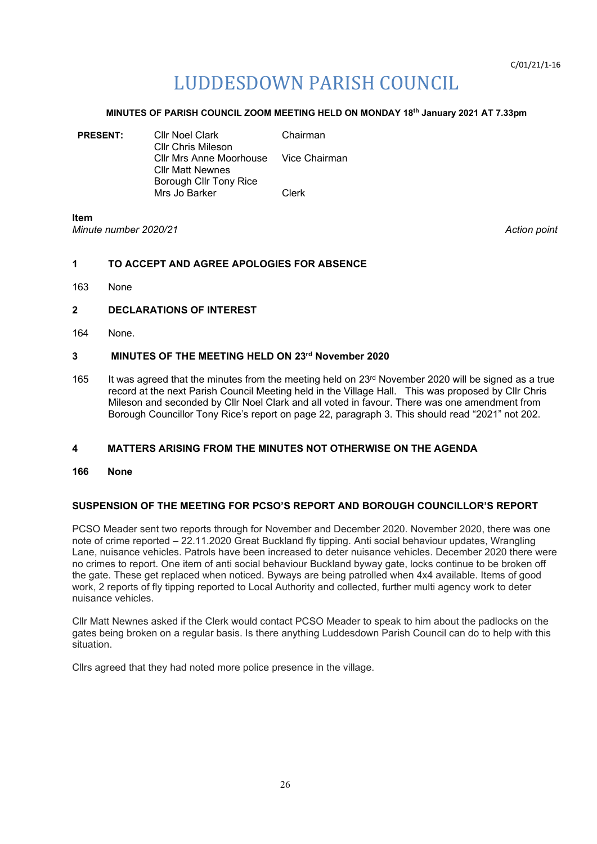# LUDDESDOWN PARISH COUNCIL

### **MINUTES OF PARISH COUNCIL ZOOM MEETING HELD ON MONDAY 18th January 2021 AT 7.33pm**

| <b>PRESENT:</b> | <b>Cllr Noel Clark</b><br>Cllr Chris Mileson                     | Chairman |
|-----------------|------------------------------------------------------------------|----------|
|                 | Cllr Mrs Anne Moorhouse Vice Chairman<br><b>CIIr Matt Newnes</b> |          |
|                 | Borough Cllr Tony Rice<br>Mrs Jo Barker                          | Clerk    |
|                 |                                                                  |          |

**Item** *Minute number 2020/21 Action point*

# **1 TO ACCEPT AND AGREE APOLOGIES FOR ABSENCE**

163 None

# **2 DECLARATIONS OF INTEREST**

164 None.

# **3 MINUTES OF THE MEETING HELD ON 23rd November 2020**

165 It was agreed that the minutes from the meeting held on 23<sup>rd</sup> November 2020 will be signed as a true record at the next Parish Council Meeting held in the Village Hall. This was proposed by Cllr Chris Mileson and seconded by Cllr Noel Clark and all voted in favour. There was one amendment from Borough Councillor Tony Rice's report on page 22, paragraph 3. This should read "2021" not 202.

# **4 MATTERS ARISING FROM THE MINUTES NOT OTHERWISE ON THE AGENDA**

**166 None**

# **SUSPENSION OF THE MEETING FOR PCSO'S REPORT AND BOROUGH COUNCILLOR'S REPORT**

PCSO Meader sent two reports through for November and December 2020. November 2020, there was one note of crime reported – 22.11.2020 Great Buckland fly tipping. Anti social behaviour updates, Wrangling Lane, nuisance vehicles. Patrols have been increased to deter nuisance vehicles. December 2020 there were no crimes to report. One item of anti social behaviour Buckland byway gate, locks continue to be broken off the gate. These get replaced when noticed. Byways are being patrolled when 4x4 available. Items of good work, 2 reports of fly tipping reported to Local Authority and collected, further multi agency work to deter nuisance vehicles.

Cllr Matt Newnes asked if the Clerk would contact PCSO Meader to speak to him about the padlocks on the gates being broken on a regular basis. Is there anything Luddesdown Parish Council can do to help with this situation.

Cllrs agreed that they had noted more police presence in the village.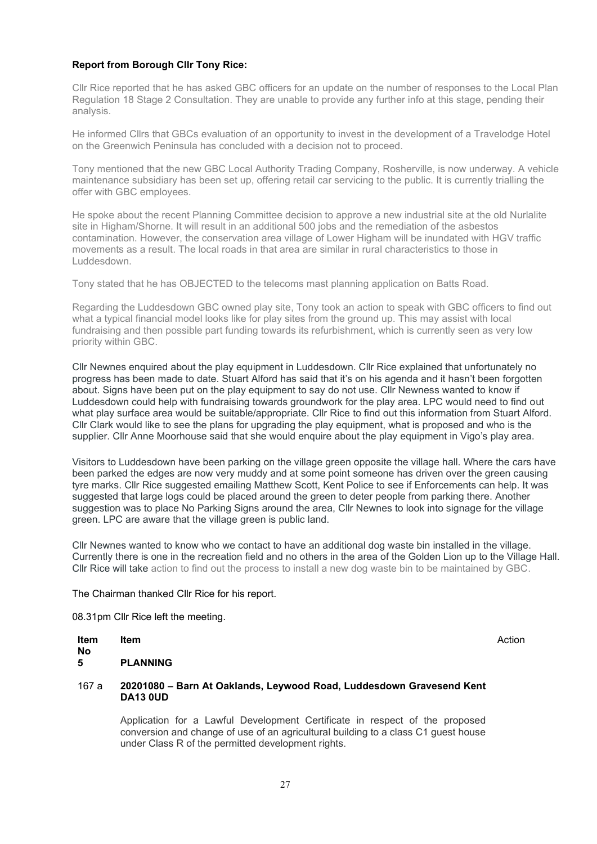### **Report from Borough Cllr Tony Rice:**

Cllr Rice reported that he has asked GBC officers for an update on the number of responses to the Local Plan Regulation 18 Stage 2 Consultation. They are unable to provide any further info at this stage, pending their analysis.

He informed Cllrs that GBCs evaluation of an opportunity to invest in the development of a Travelodge Hotel on the Greenwich Peninsula has concluded with a decision not to proceed.

Tony mentioned that the new GBC Local Authority Trading Company, Rosherville, is now underway. A vehicle maintenance subsidiary has been set up, offering retail car servicing to the public. It is currently trialling the offer with GBC employees.

He spoke about the recent Planning Committee decision to approve a new industrial site at the old Nurlalite site in Higham/Shorne. It will result in an additional 500 jobs and the remediation of the asbestos contamination. However, the conservation area village of Lower Higham will be inundated with HGV traffic movements as a result. The local roads in that area are similar in rural characteristics to those in Luddesdown.

Tony stated that he has OBJECTED to the telecoms mast planning application on Batts Road.

Regarding the Luddesdown GBC owned play site, Tony took an action to speak with GBC officers to find out what a typical financial model looks like for play sites from the ground up. This may assist with local fundraising and then possible part funding towards its refurbishment, which is currently seen as very low priority within GBC.

Cllr Newnes enquired about the play equipment in Luddesdown. Cllr Rice explained that unfortunately no progress has been made to date. Stuart Alford has said that it's on his agenda and it hasn't been forgotten about. Signs have been put on the play equipment to say do not use. Cllr Newness wanted to know if Luddesdown could help with fundraising towards groundwork for the play area. LPC would need to find out what play surface area would be suitable/appropriate. Cllr Rice to find out this information from Stuart Alford. Cllr Clark would like to see the plans for upgrading the play equipment, what is proposed and who is the supplier. Cllr Anne Moorhouse said that she would enquire about the play equipment in Vigo's play area.

Visitors to Luddesdown have been parking on the village green opposite the village hall. Where the cars have been parked the edges are now very muddy and at some point someone has driven over the green causing tyre marks. Cllr Rice suggested emailing Matthew Scott, Kent Police to see if Enforcements can help. It was suggested that large logs could be placed around the green to deter people from parking there. Another suggestion was to place No Parking Signs around the area, Cllr Newnes to look into signage for the village green. LPC are aware that the village green is public land.

Cllr Newnes wanted to know who we contact to have an additional dog waste bin installed in the village. Currently there is one in the recreation field and no others in the area of the Golden Lion up to the Village Hall. Cllr Rice will take action to find out the process to install a new dog waste bin to be maintained by GBC.

### The Chairman thanked Cllr Rice for his report.

08.31pm Cllr Rice left the meeting.

| Item | Action |
|------|--------|
|      |        |

**No**

**Item** 

**5 PLANNING**

### 167 a **20201080 – Barn At Oaklands, Leywood Road, Luddesdown Gravesend Kent DA13 0UD**

Application for a Lawful Development Certificate in respect of the proposed conversion and change of use of an agricultural building to a class C1 guest house under Class R of the permitted development rights.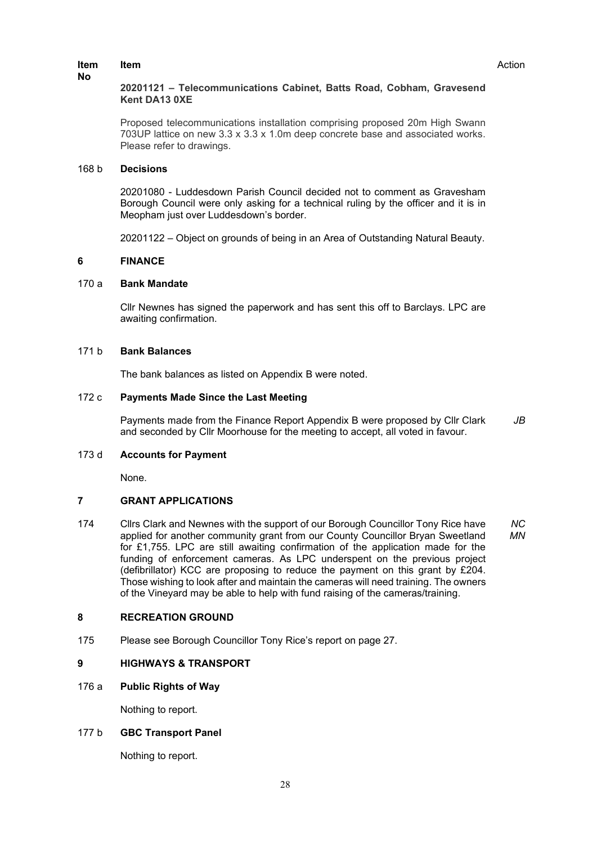### **Item**

### **20201121 – Telecommunications Cabinet, Batts Road, Cobham, Gravesend Kent DA13 0XE**

Proposed telecommunications installation comprising proposed 20m High Swann 703UP lattice on new 3.3 x 3.3 x 1.0m deep concrete base and associated works. Please refer to drawings.

### 168 b **Decisions**

20201080 - Luddesdown Parish Council decided not to comment as Gravesham Borough Council were only asking for a technical ruling by the officer and it is in Meopham just over Luddesdown's border.

20201122 – Object on grounds of being in an Area of Outstanding Natural Beauty.

### **6 FINANCE**

### 170 a **Bank Mandate**

Cllr Newnes has signed the paperwork and has sent this off to Barclays. LPC are awaiting confirmation.

# 171 b **Bank Balances**

The bank balances as listed on Appendix B were noted.

### 172 c **Payments Made Since the Last Meeting**

Payments made from the Finance Report Appendix B were proposed by Cllr Clark and seconded by Cllr Moorhouse for the meeting to accept, all voted in favour. *JB*

### 173 d **Accounts for Payment**

None.

#### **7 GRANT APPLICATIONS**

174 Cllrs Clark and Newnes with the support of our Borough Councillor Tony Rice have applied for another community grant from our County Councillor Bryan Sweetland for £1,755. LPC are still awaiting confirmation of the application made for the funding of enforcement cameras. As LPC underspent on the previous project (defibrillator) KCC are proposing to reduce the payment on this grant by £204. Those wishing to look after and maintain the cameras will need training. The owners of the Vineyard may be able to help with fund raising of the cameras/training. *NC MN*

### **8 RECREATION GROUND**

175 Please see Borough Councillor Tony Rice's report on page 27.

# **9 HIGHWAYS & TRANSPORT**

176 a **Public Rights of Way**

Nothing to report.

# 177 b **GBC Transport Panel**

Nothing to report.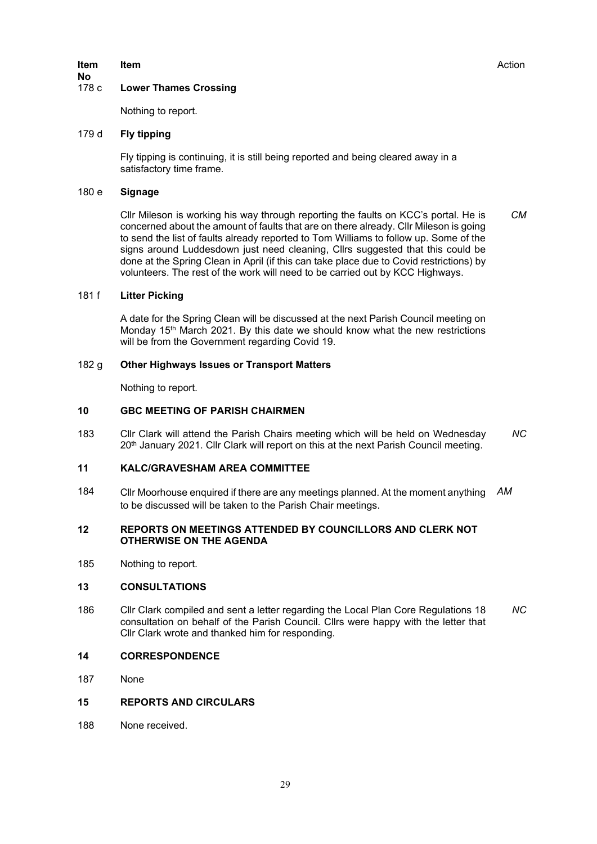# **Item**

### **No Lower Thames Crossing**

Nothing to report.

### 179 d **Fly tipping**

Fly tipping is continuing, it is still being reported and being cleared away in a satisfactory time frame.

### 180 e **Signage**

Cllr Mileson is working his way through reporting the faults on KCC's portal. He is concerned about the amount of faults that are on there already. Cllr Mileson is going to send the list of faults already reported to Tom Williams to follow up. Some of the signs around Luddesdown just need cleaning, Cllrs suggested that this could be done at the Spring Clean in April (if this can take place due to Covid restrictions) by volunteers. The rest of the work will need to be carried out by KCC Highways. *CM*

### 181 f **Litter Picking**

A date for the Spring Clean will be discussed at the next Parish Council meeting on Monday 15<sup>th</sup> March 2021. By this date we should know what the new restrictions will be from the Government regarding Covid 19.

### 182 g **Other Highways Issues or Transport Matters**

Nothing to report.

#### **10 GBC MEETING OF PARISH CHAIRMEN**

183 Cllr Clark will attend the Parish Chairs meeting which will be held on Wednesday 20<sup>th</sup> January 2021. Cllr Clark will report on this at the next Parish Council meeting. *NC*

#### **11 KALC/GRAVESHAM AREA COMMITTEE**

184 Cllr Moorhouse enquired if there are any meetings planned. At the moment anything to be discussed will be taken to the Parish Chair meetings. *AM*

#### **12 REPORTS ON MEETINGS ATTENDED BY COUNCILLORS AND CLERK NOT OTHERWISE ON THE AGENDA**

185 Nothing to report.

#### **13 CONSULTATIONS**

- 186 Cllr Clark compiled and sent a letter regarding the Local Plan Core Regulations 18 consultation on behalf of the Parish Council. Cllrs were happy with the letter that Cllr Clark wrote and thanked him for responding. *NC*
- **14 CORRESPONDENCE**
- 187 None
- **15 REPORTS AND CIRCULARS**
- 188 None received.